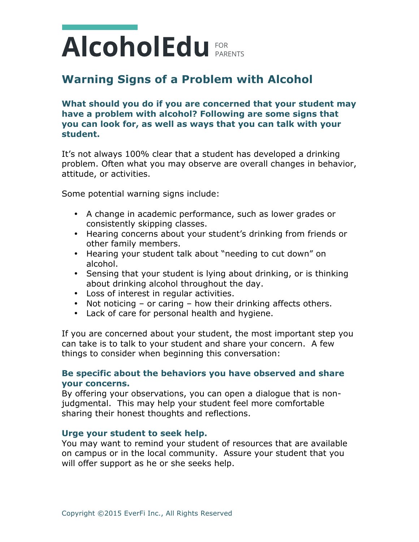# PARENTS FOR

## **Warning Signs of a Problem with Alcohol**

**What should you do if you are concerned that your student may have a problem with alcohol? Following are some signs that you can look for, as well as ways that you can talk with your student.**

It's not always 100% clear that a student has developed a drinking problem. Often what you may observe are overall changes in behavior, attitude, or activities.

Some potential warning signs include:

- A change in academic performance, such as lower grades or consistently skipping classes.
- Hearing concerns about your student's drinking from friends or other family members.
- Hearing your student talk about "needing to cut down" on alcohol.
- Sensing that your student is lying about drinking, or is thinking about drinking alcohol throughout the day.
- Loss of interest in regular activities.
- Not noticing or caring how their drinking affects others.
- Lack of care for personal health and hygiene.

If you are concerned about your student, the most important step you can take is to talk to your student and share your concern. A few things to consider when beginning this conversation:

### **Be specific about the behaviors you have observed and share your concerns.**

By offering your observations, you can open a dialogue that is nonjudgmental. This may help your student feel more comfortable sharing their honest thoughts and reflections.

#### **Urge your student to seek help.**

You may want to remind your student of resources that are available on campus or in the local community. Assure your student that you will offer support as he or she seeks help.